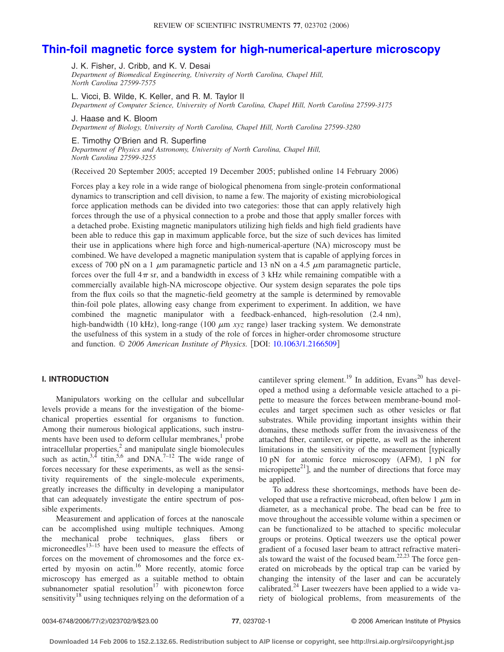# **[Thin-foil magnetic force system for high-numerical-aperture microscopy](http://dx.doi.org/10.1063/1.2166509)**

J. K. Fisher, J. Cribb, and K. V. Desai *Department of Biomedical Engineering, University of North Carolina, Chapel Hill, North Carolina 27599-7575*

L. Vicci, B. Wilde, K. Keller, and R. M. Taylor II *Department of Computer Science, University of North Carolina, Chapel Hill, North Carolina 27599-3175*

J. Haase and K. Bloom *Department of Biology, University of North Carolina, Chapel Hill, North Carolina 27599-3280*

### E. Timothy O'Brien and R. Superfine

*Department of Physics and Astronomy, University of North Carolina, Chapel Hill, North Carolina 27599-3255*

(Received 20 September 2005; accepted 19 December 2005; published online 14 February 2006)

Forces play a key role in a wide range of biological phenomena from single-protein conformational dynamics to transcription and cell division, to name a few. The majority of existing microbiological force application methods can be divided into two categories: those that can apply relatively high forces through the use of a physical connection to a probe and those that apply smaller forces with a detached probe. Existing magnetic manipulators utilizing high fields and high field gradients have been able to reduce this gap in maximum applicable force, but the size of such devices has limited their use in applications where high force and high-numerical-aperture (NA) microscopy must be combined. We have developed a magnetic manipulation system that is capable of applying forces in excess of 700 pN on a 1  $\mu$ m paramagnetic particle and 13 nN on a 4.5  $\mu$ m paramagnetic particle, forces over the full  $4\pi$  sr, and a bandwidth in excess of 3 kHz while remaining compatible with a commercially available high-NA microscope objective. Our system design separates the pole tips from the flux coils so that the magnetic-field geometry at the sample is determined by removable thin-foil pole plates, allowing easy change from experiment to experiment. In addition, we have combined the magnetic manipulator with a feedback-enhanced, high-resolution (2.4 nm), high-bandwidth  $(10 \text{ kHz})$ , long-range  $(100 \mu \text{m} \text{ xyz range})$  laser tracking system. We demonstrate the usefulness of this system in a study of the role of forces in higher-order chromosome structure and function. *© 2006 American Institute of Physics.* [DOI: [10.1063/1.2166509](http://dx.doi.org/10.1063/1.2166509)]

## **I. INTRODUCTION**

Manipulators working on the cellular and subcellular levels provide a means for the investigation of the biomechanical properties essential for organisms to function. Among their numerous biological applications, such instruments have been used to deform cellular membranes, $<sup>1</sup>$  probe</sup> intracellular properties, $<sup>2</sup>$  and manipulate single biomolecules</sup> such as actin,<sup>3,4</sup> titin,<sup>5,6</sup> and DNA.<sup>7-12</sup> The wide range of forces necessary for these experiments, as well as the sensitivity requirements of the single-molecule experiments, greatly increases the difficulty in developing a manipulator that can adequately investigate the entire spectrum of possible experiments.

Measurement and application of forces at the nanoscale can be accomplished using multiple techniques. Among the mechanical probe techniques, glass fibers or microneedles<sup>13–15</sup> have been used to measure the effects of forces on the movement of chromosomes and the force exerted by myosin on actin.<sup>16</sup> More recently, atomic force microscopy has emerged as a suitable method to obtain subnanometer spatial resolution $17$  with piconewton force sensitivity<sup>18</sup> using techniques relying on the deformation of a

cantilever spring element.<sup>19</sup> In addition, Evans<sup>20</sup> has developed a method using a deformable vesicle attached to a pipette to measure the forces between membrane-bound molecules and target specimen such as other vesicles or flat substrates. While providing important insights within their domains, these methods suffer from the invasiveness of the attached fiber, cantilever, or pipette, as well as the inherent limitations in the sensitivity of the measurement [typically] 10 pN for atomic force microscopy (AFM), 1 pN for micropipette<sup>21</sup>, and the number of directions that force may be applied.

To address these shortcomings, methods have been developed that use a refractive microbead, often below  $1 \mu m$  in diameter, as a mechanical probe. The bead can be free to move throughout the accessible volume within a specimen or can be functionalized to be attached to specific molecular groups or proteins. Optical tweezers use the optical power gradient of a focused laser beam to attract refractive materials toward the waist of the focused beam.22,23 The force generated on microbeads by the optical trap can be varied by changing the intensity of the laser and can be accurately calibrated.<sup>24</sup> Laser tweezers have been applied to a wide variety of biological problems, from measurements of the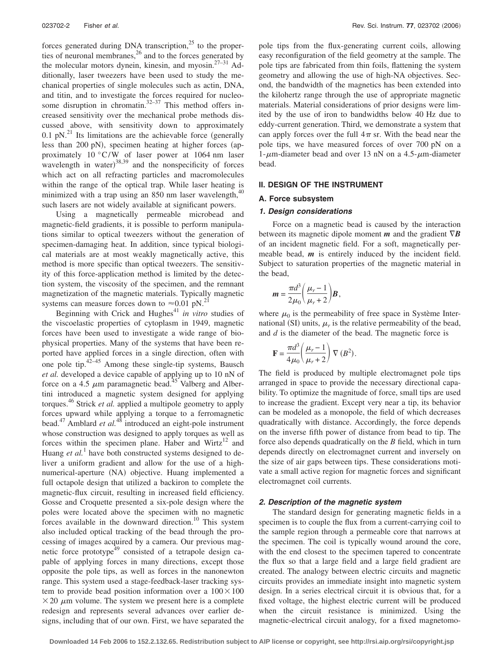forces generated during DNA transcription,<sup>25</sup> to the properties of neuronal membranes, $^{26}$  and to the forces generated by the molecular motors dynein, kinesin, and myosin. $27-31$  Additionally, laser tweezers have been used to study the mechanical properties of single molecules such as actin, DNA, and titin, and to investigate the forces required for nucleosome disruption in chromatin.<sup>32–37</sup> This method offers increased sensitivity over the mechanical probe methods discussed above, with sensitivity down to approximately 0.1 pN. $^{21}$  Its limitations are the achievable force (generally less than 200 pN), specimen heating at higher forces (approximately 10 °C/W of laser power at 1064 nm laser wavelength in water) $38,39$  and the nonspecificity of forces which act on all refracting particles and macromolecules within the range of the optical trap. While laser heating is minimized with a trap using an  $850$  nm laser wavelength,  $40$ such lasers are not widely available at significant powers.

Using a magnetically permeable microbead and magnetic-field gradients, it is possible to perform manipulations similar to optical tweezers without the generation of specimen-damaging heat. In addition, since typical biological materials are at most weakly magnetically active, this method is more specific than optical tweezers. The sensitivity of this force-application method is limited by the detection system, the viscosity of the specimen, and the remnant magnetization of the magnetic materials. Typically magnetic systems can measure forces down to  $\approx 0.01$  pN.<sup>21</sup>

Beginning with Crick and Hughes<sup>41</sup> in vitro studies of the viscoelastic properties of cytoplasm in 1949, magnetic forces have been used to investigate a wide range of biophysical properties. Many of the systems that have been reported have applied forces in a single direction, often with one pole tip. $42-45$  Among these single-tip systems, Bausch *et al.* developed a device capable of applying up to 10 nN of force on a 4.5  $\mu$ m paramagnetic bead.<sup>45</sup> Valberg and Albertini introduced a magnetic system designed for applying torques.46 Strick *et al.* applied a multipole geometry to apply forces upward while applying a torque to a ferromagnetic bead.47 Amblard *et al.*<sup>48</sup> introduced an eight-pole instrument whose construction was designed to apply torques as well as forces within the specimen plane. Haber and Wirtz<sup>12</sup> and Huang  $et al.$ <sup>1</sup> have both constructed systems designed to deliver a uniform gradient and allow for the use of a highnumerical-aperture (NA) objective. Huang implemented a full octapole design that utilized a backiron to complete the magnetic-flux circuit, resulting in increased field efficiency. Gosse and Croquette presented a six-pole design where the poles were located above the specimen with no magnetic forces available in the downward direction.<sup>10</sup> This system also included optical tracking of the bead through the processing of images acquired by a camera. Our previous magnetic force prototype<sup>49</sup> consisted of a tetrapole design capable of applying forces in many directions, except those opposite the pole tips, as well as forces in the nanonewton range. This system used a stage-feedback-laser tracking system to provide bead position information over a  $100 \times 100$  $\times$  20  $\mu$ m volume. The system we present here is a complete redesign and represents several advances over earlier designs, including that of our own. First, we have separated the pole tips from the flux-generating current coils, allowing easy reconfiguration of the field geometry at the sample. The pole tips are fabricated from thin foils, flattening the system geometry and allowing the use of high-NA objectives. Second, the bandwidth of the magnetics has been extended into the kilohertz range through the use of appropriate magnetic materials. Material considerations of prior designs were limited by the use of iron to bandwidths below 40 Hz due to eddy-current generation. Third, we demonstrate a system that can apply forces over the full  $4\pi$  sr. With the bead near the pole tips, we have measured forces of over 700 pN on a 1- $\mu$ m-diameter bead and over 13 nN on a 4.5- $\mu$ m-diameter bead.

### **II. DESIGN OF THE INSTRUMENT**

### **A. Force subsystem**

#### *1. Design considerations*

Force on a magnetic bead is caused by the interaction between its magnetic dipole moment  $m$  and the gradient  $\nabla B$ of an incident magnetic field. For a soft, magnetically permeable bead, *m* is entirely induced by the incident field. Subject to saturation properties of the magnetic material in the bead,

$$
\boldsymbol{m}=\frac{\pi d^3}{2\mu_0}\bigg(\frac{\mu_r-1}{\mu_r+2}\bigg)\boldsymbol{B}\,,
$$

where  $\mu_0$  is the permeability of free space in Système International (SI) units,  $\mu_r$  is the relative permeability of the bead, and *d* is the diameter of the bead. The magnetic force is

$$
\mathbf{F} = \frac{\pi d^3}{4\mu_0} \left(\frac{\mu_r - 1}{\mu_r + 2}\right) \nabla (B^2).
$$

The field is produced by multiple electromagnet pole tips arranged in space to provide the necessary directional capability. To optimize the magnitude of force, small tips are used to increase the gradient. Except very near a tip, its behavior can be modeled as a monopole, the field of which decreases quadratically with distance. Accordingly, the force depends on the inverse fifth power of distance from bead to tip. The force also depends quadratically on the *B* field, which in turn depends directly on electromagnet current and inversely on the size of air gaps between tips. These considerations motivate a small active region for magnetic forces and significant electromagnet coil currents.

### *2. Description of the magnetic system*

The standard design for generating magnetic fields in a specimen is to couple the flux from a current-carrying coil to the sample region through a permeable core that narrows at the specimen. The coil is typically wound around the core, with the end closest to the specimen tapered to concentrate the flux so that a large field and a large field gradient are created. The analogy between electric circuits and magnetic circuits provides an immediate insight into magnetic system design. In a series electrical circuit it is obvious that, for a fixed voltage, the highest electric current will be produced when the circuit resistance is minimized. Using the magnetic-electrical circuit analogy, for a fixed magnetomo-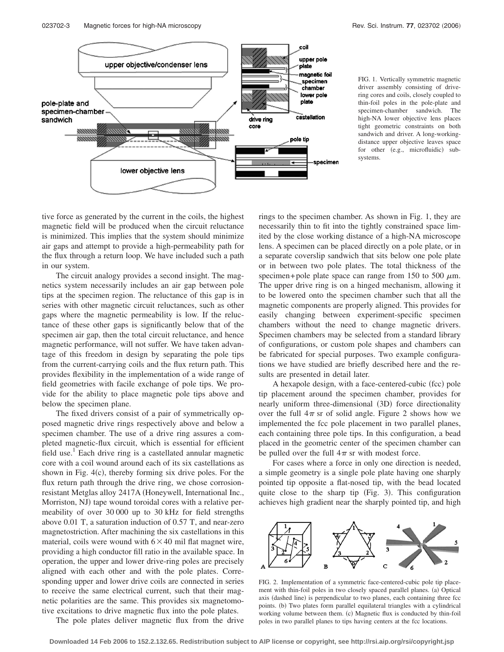

FIG. 1. Vertically symmetric magnetic driver assembly consisting of drivering cores and coils, closely coupled to thin-foil poles in the pole-plate and specimen-chamber sandwich. The high-NA lower objective lens places tight geometric constraints on both sandwich and driver. A long-workingdistance upper objective leaves space for other (e.g., microfluidic) subsystems.

tive force as generated by the current in the coils, the highest magnetic field will be produced when the circuit reluctance is minimized. This implies that the system should minimize air gaps and attempt to provide a high-permeability path for the flux through a return loop. We have included such a path in our system.

The circuit analogy provides a second insight. The magnetics system necessarily includes an air gap between pole tips at the specimen region. The reluctance of this gap is in series with other magnetic circuit reluctances, such as other gaps where the magnetic permeability is low. If the reluctance of these other gaps is significantly below that of the specimen air gap, then the total circuit reluctance, and hence magnetic performance, will not suffer. We have taken advantage of this freedom in design by separating the pole tips from the current-carrying coils and the flux return path. This provides flexibility in the implementation of a wide range of field geometries with facile exchange of pole tips. We provide for the ability to place magnetic pole tips above and below the specimen plane.

The fixed drivers consist of a pair of symmetrically opposed magnetic drive rings respectively above and below a specimen chamber. The use of a drive ring assures a completed magnetic-flux circuit, which is essential for efficient field use.<sup>1</sup> Each drive ring is a castellated annular magnetic core with a coil wound around each of its six castellations as shown in Fig. 4(c), thereby forming six drive poles. For the flux return path through the drive ring, we chose corrosionresistant Metglas alloy 2417A (Honeywell, International Inc., Morriston, NJ) tape wound toroidal cores with a relative permeability of over 30 000 up to 30 kHz for field strengths above 0.01 T, a saturation induction of 0.57 T, and near-zero magnetostriction. After machining the six castellations in this material, coils were wound with  $6 \times 40$  mil flat magnet wire, providing a high conductor fill ratio in the available space. In operation, the upper and lower drive-ring poles are precisely aligned with each other and with the pole plates. Corresponding upper and lower drive coils are connected in series to receive the same electrical current, such that their magnetic polarities are the same. This provides six magnetomotive excitations to drive magnetic flux into the pole plates.

The pole plates deliver magnetic flux from the drive

rings to the specimen chamber. As shown in Fig. 1, they are necessarily thin to fit into the tightly constrained space limited by the close working distance of a high-NA microscope lens. A specimen can be placed directly on a pole plate, or in a separate coverslip sandwich that sits below one pole plate or in between two pole plates. The total thickness of the specimen+ pole plate space can range from 150 to 500  $\mu$ m. The upper drive ring is on a hinged mechanism, allowing it to be lowered onto the specimen chamber such that all the magnetic components are properly aligned. This provides for easily changing between experiment-specific specimen chambers without the need to change magnetic drivers. Specimen chambers may be selected from a standard library of configurations, or custom pole shapes and chambers can be fabricated for special purposes. Two example configurations we have studied are briefly described here and the results are presented in detail later.

A hexapole design, with a face-centered-cubic (fcc) pole tip placement around the specimen chamber, provides for nearly uniform three-dimensional (3D) force directionality over the full  $4\pi$  sr of solid angle. Figure 2 shows how we implemented the fcc pole placement in two parallel planes, each containing three pole tips. In this configuration, a bead placed in the geometric center of the specimen chamber can be pulled over the full  $4\pi$  sr with modest force.

For cases where a force in only one direction is needed, a simple geometry is a single pole plate having one sharply pointed tip opposite a flat-nosed tip, with the bead located quite close to the sharp tip (Fig. 3). This configuration achieves high gradient near the sharply pointed tip, and high



FIG. 2. Implementation of a symmetric face-centered-cubic pole tip placement with thin-foil poles in two closely spaced parallel planes. (a) Optical axis (dashed line) is perpendicular to two planes, each containing three fcc points. (b) Two plates form parallel equilateral triangles with a cylindrical working volume between them. (c) Magnetic flux is conducted by thin-foil poles in two parallel planes to tips having centers at the fcc locations.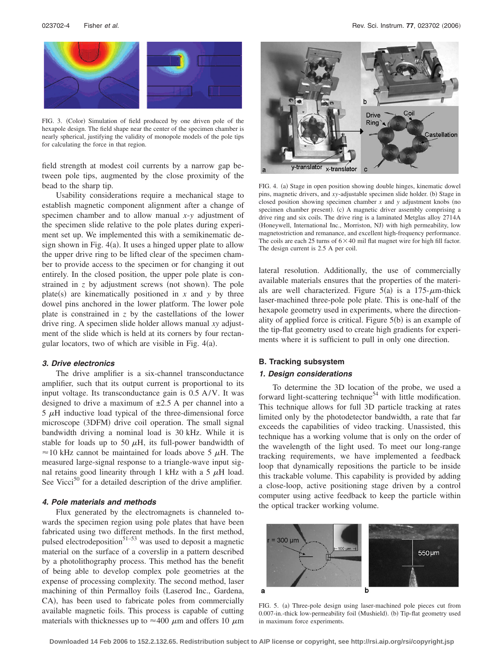

FIG. 3. (Color) Simulation of field produced by one driven pole of the hexapole design. The field shape near the center of the specimen chamber is nearly spherical, justifying the validity of monopole models of the pole tips for calculating the force in that region.

field strength at modest coil currents by a narrow gap between pole tips, augmented by the close proximity of the bead to the sharp tip.

Usability considerations require a mechanical stage to establish magnetic component alignment after a change of specimen chamber and to allow manual *x*-*y* adjustment of the specimen slide relative to the pole plates during experiment set up. We implemented this with a semikinematic design shown in Fig.  $4(a)$ . It uses a hinged upper plate to allow the upper drive ring to be lifted clear of the specimen chamber to provide access to the specimen or for changing it out entirely. In the closed position, the upper pole plate is constrained in z by adjustment screws (not shown). The pole plate(s) are kinematically positioned in  $x$  and  $y$  by three dowel pins anchored in the lower platform. The lower pole plate is constrained in *z* by the castellations of the lower drive ring. A specimen slide holder allows manual *xy* adjustment of the slide which is held at its corners by four rectangular locators, two of which are visible in Fig.  $4(a)$ .

### *3. Drive electronics*

The drive amplifier is a six-channel transconductance amplifier, such that its output current is proportional to its input voltage. Its transconductance gain is 0.5 A/V. It was designed to drive a maximum of  $\pm 2.5$  A per channel into a  $5 \mu$ H inductive load typical of the three-dimensional force microscope (3DFM) drive coil operation. The small signal bandwidth driving a nominal load is 30 kHz. While it is stable for loads up to 50  $\mu$ H, its full-power bandwidth of  $\approx$ 10 kHz cannot be maintained for loads above 5  $\mu$ H. The measured large-signal response to a triangle-wave input signal retains good linearity through 1 kHz with a 5  $\mu$ H load. See Vicci<sup>50</sup> for a detailed description of the drive amplifier.

### *4. Pole materials and methods*

Flux generated by the electromagnets is channeled towards the specimen region using pole plates that have been fabricated using two different methods. In the first method, pulsed electrodeposition<sup>51–53</sup> was used to deposit a magnetic material on the surface of a coverslip in a pattern described by a photolithography process. This method has the benefit of being able to develop complex pole geometries at the expense of processing complexity. The second method, laser machining of thin Permalloy foils Laserod Inc., Gardena, CA), has been used to fabricate poles from commercially available magnetic foils. This process is capable of cutting materials with thicknesses up to  $\approx 400 \mu$ m and offers 10  $\mu$ m



FIG. 4. (a) Stage in open position showing double hinges, kinematic dowel pins, magnetic drivers, and *xy*-adjustable specimen slide holder. (b) Stage in closed position showing specimen chamber  $x$  and  $y$  adjustment knobs (no specimen chamber present). (c) A magnetic driver assembly comprising a drive ring and six coils. The drive ring is a laminated Metglas alloy 2714A (Honeywell, International Inc., Morriston, NJ) with high permeability, low magnetostriction and remanance, and excellent high-frequency performance. The coils are each 25 turns of  $6 \times 40$  mil flat magnet wire for high fill factor. The design current is 2.5 A per coil.

lateral resolution. Additionally, the use of commercially available materials ensures that the properties of the materials are well characterized. Figure  $5(a)$  is a 175- $\mu$ m-thick laser-machined three-pole pole plate. This is one-half of the hexapole geometry used in experiments, where the directionality of applied force is critical. Figure  $5(b)$  is an example of the tip-flat geometry used to create high gradients for experiments where it is sufficient to pull in only one direction.

### **B. Tracking subsystem**

### *1. Design considerations*

To determine the 3D location of the probe, we used a forward light-scattering technique<sup>54</sup> with little modification. This technique allows for full 3D particle tracking at rates limited only by the photodetector bandwidth, a rate that far exceeds the capabilities of video tracking. Unassisted, this technique has a working volume that is only on the order of the wavelength of the light used. To meet our long-range tracking requirements, we have implemented a feedback loop that dynamically repositions the particle to be inside this trackable volume. This capability is provided by adding a close-loop, active positioning stage driven by a control computer using active feedback to keep the particle within the optical tracker working volume.



FIG. 5. (a) Three-pole design using laser-machined pole pieces cut from 0.007-in.-thick low-permeability foil (Mushield). (b) Tip-flat geometry used in maximum force experiments.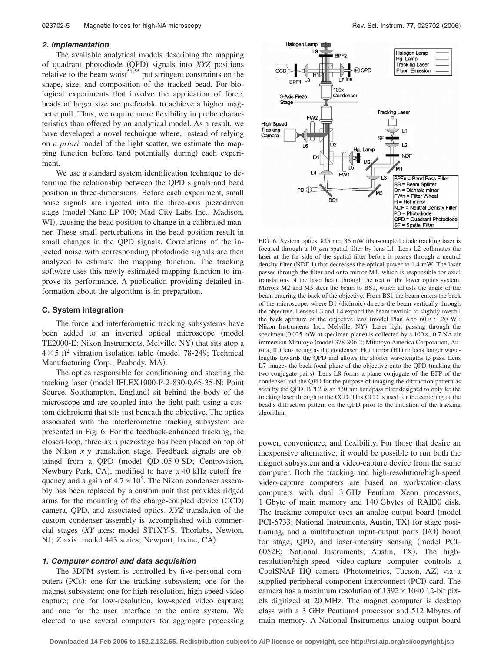#### *2. Implementation*

The available analytical models describing the mapping of quadrant photodiode (QPD) signals into *XYZ* positions relative to the beam waist $54,55$  put stringent constraints on the shape, size, and composition of the tracked bead. For biological experiments that involve the application of force, beads of larger size are preferable to achieve a higher magnetic pull. Thus, we require more flexibility in probe characteristics than offered by an analytical model. As a result, we have developed a novel technique where, instead of relying on *a priori* model of the light scatter, we estimate the mapping function before (and potentially during) each experiment.

We use a standard system identification technique to determine the relationship between the QPD signals and bead position in three-dimensions. Before each experiment, small noise signals are injected into the three-axis piezodriven stage model Nano-LP 100; Mad City Labs Inc., Madison, WI), causing the bead position to change in a calibrated manner. These small perturbations in the bead position result in small changes in the QPD signals. Correlations of the injected noise with corresponding photodiode signals are then analyzed to estimate the mapping function. The tracking software uses this newly estimated mapping function to improve its performance. A publication providing detailed information about the algorithm is in preparation.

#### **C. System integration**

The force and interferometric tracking subsystems have been added to an inverted optical microscope (model TE2000-E; Nikon Instruments, Melville, NY) that sits atop a  $4 \times 5$  ft<sup>2</sup> vibration isolation table (model 78-249; Technical Manufacturing Corp., Peabody, MA).

The optics responsible for conditioning and steering the tracking laser (model IFLEX1000-P-2-830-0.65-35-N; Point Source, Southampton, England) sit behind the body of the microscope and are coupled into the light path using a custom dichroicmi that sits just beneath the objective. The optics associated with the interferometric tracking subsystem are presented in Fig. 6. For the feedback-enhanced tracking, the closed-loop, three-axis piezostage has been placed on top of the Nikon *x*-*y* translation stage. Feedback signals are obtained from a QPD (model QD-.05-0-SD; Centrovision, Newbury Park, CA), modified to have a 40 kHz cutoff frequency and a gain of  $4.7 \times 10^5$ . The Nikon condenser assembly has been replaced by a custom unit that provides ridged arms for the mounting of the charge-coupled device (CCD) camera, QPD, and associated optics. *XYZ* translation of the custom condenser assembly is accomplished with commercial stages *XY* axes: model ST1XY-S, Thorlabs, Newton, NJ; *Z* axis: model 443 series; Newport, Irvine, CA).

### *1. Computer control and data acquisition*

The 3DFM system is controlled by five personal computers (PCs): one for the tracking subsystem; one for the magnet subsystem; one for high-resolution, high-speed video capture; one for low-resolution, low-speed video capture; and one for the user interface to the entire system. We elected to use several computers for aggregate processing



FIG. 6. System optics. 825 nm, 36 mW fiber-coupled diode tracking laser is focused through a 10  $\mu$ m spatial filter by lens L1. Lens L2 collimates the laser at the far side of the spatial filter before it passes through a neutral density filter (NDF 1) that decreases the optical power to 1.4 mW. The laser passes through the filter and onto mirror M1, which is responsible for axial translations of the laser beam through the rest of the lower optics system. Mirrors M2 and M3 steer the beam to BS1, which adjusts the angle of the beam entering the back of the objective. From BS1 the beam enters the back of the microscope, where D1 (dichroic) directs the beam vertically through the objective. Lenses L3 and L4 expand the beam twofold to slightly overfill the back aperture of the objective lens (model Plan Apo  $60 \times / 1.20$  WI; Nikon Instruments Inc., Melville, NY). Laser light passing through the specimen (0.025 mW at specimen plane) is collected by a  $100\times$ , 0.7 NA air immersion Mitutoyo (model 378-806-2; Mitutoyo America Corporation, Aurora, IL) lens acting as the condenser. Hot mirror (H1) reflects longer wavelengths towards the QPD and allows the shorter wavelengths to pass. Lens L7 images the back focal plane of the objective onto the QPD (making the two conjugate pairs). Lens L8 forms a plane conjugate of the BFP of the condenser and the QPD for the purpose of imaging the diffraction pattern as seen by the QPD. BPF2 is an 830 nm bandpass filter designed to only let the tracking laser through to the CCD. This CCD is used for the centering of the bead's diffraction pattern on the QPD prior to the initiation of the tracking algorithm.

power, convenience, and flexibility. For those that desire an inexpensive alternative, it would be possible to run both the magnet subsystem and a video-capture device from the same computer. Both the tracking and high-resolution/high-speed video-capture computers are based on workstation-class computers with dual 3 GHz Pentium Xeon processors, 1 Gbyte of main memory and 140 Gbytes of RAID0 disk. The tracking computer uses an analog output board (model PCI-6733; National Instruments, Austin, TX) for stage positioning, and a multifunction input-output ports (I/O) board for stage, QPD, and laser-intensity sensing (model PCI-6052E; National Instruments, Austin, TX). The highresolution/high-speed video-capture computer controls a CoolSNAP HQ camera (Photometrics, Tucson, AZ) via a supplied peripheral component interconnect (PCI) card. The camera has a maximum resolution of  $1392 \times 1040$  12-bit pixels digitized at 20 MHz. The magnet computer is desktop class with a 3 GHz Pentium4 processor and 512 Mbytes of main memory. A National Instruments analog output board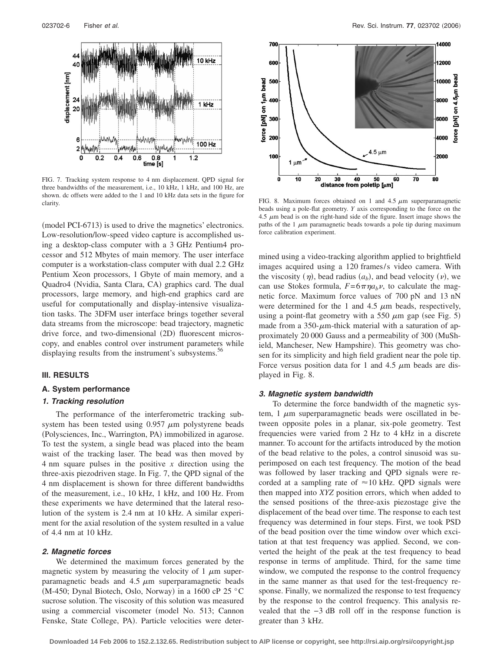

FIG. 7. Tracking system response to 4 nm displacement. QPD signal for three bandwidths of the measurement, i.e., 10 kHz, 1 kHz, and 100 Hz, are shown. dc offsets were added to the 1 and 10 kHz data sets in the figure for

(model PCI-6713) is used to drive the magnetics' electronics. Low-resolution/low-speed video capture is accomplished using a desktop-class computer with a 3 GHz Pentium4 processor and 512 Mbytes of main memory. The user interface computer is a workstation-class computer with dual 2.2 GHz Pentium Xeon processors, 1 Gbyte of main memory, and a Quadro4 (Nvidia, Santa Clara, CA) graphics card. The dual processors, large memory, and high-end graphics card are useful for computationally and display-intensive visualization tasks. The 3DFM user interface brings together several data streams from the microscope: bead trajectory, magnetic drive force, and two-dimensional (2D) fluorescent microscopy, and enables control over instrument parameters while displaying results from the instrument's subsystems.<sup>56</sup>

### **III. RESULTS**

### **A. System performance**

### *1. Tracking resolution*

The performance of the interferometric tracking subsystem has been tested using  $0.957 \mu m$  polystyrene beads (Polysciences, Inc., Warrington, PA) immobilized in agarose. To test the system, a single bead was placed into the beam waist of the tracking laser. The bead was then moved by 4 nm square pulses in the positive *x* direction using the three-axis piezodriven stage. In Fig. 7, the QPD signal of the 4 nm displacement is shown for three different bandwidths of the measurement, i.e., 10 kHz, 1 kHz, and 100 Hz. From these experiments we have determined that the lateral resolution of the system is 2.4 nm at 10 kHz. A similar experiment for the axial resolution of the system resulted in a value of 4.4 nm at 10 kHz.

### *2. Magnetic forces*

We determined the maximum forces generated by the magnetic system by measuring the velocity of 1  $\mu$ m superparamagnetic beads and 4.5  $\mu$ m superparamagnetic beads (M-450; Dynal Biotech, Oslo, Norway) in a 1600 cP 25 °C sucrose solution. The viscosity of this solution was measured using a commercial viscometer (model No. 513; Cannon Fenske, State College, PA). Particle velocities were deter-



clarity. The clarity of the state of the FIG. 8. Maximum forces obtained on 1 and 4.5  $\mu$ m superparamagnetic beads using a pole-flat geometry. *Y* axis corresponding to the force on the 4.5  $\mu$ m bead is on the right-hand side of the figure. Insert image shows the paths of the 1  $\mu$ m paramagnetic beads towards a pole tip during maximum force calibration experiment.

mined using a video-tracking algorithm applied to brightfield images acquired using a 120 frames/s video camera. With the viscosity  $(\eta)$ , bead radius  $(a_b)$ , and bead velocity  $(\nu)$ , we can use Stokes formula,  $F = 6\pi \eta a_b \nu$ , to calculate the magnetic force. Maximum force values of 700 pN and 13 nN were determined for the 1 and 4.5  $\mu$ m beads, respectively, using a point-flat geometry with a 550  $\mu$ m gap (see Fig. 5) made from a 350- $\mu$ m-thick material with a saturation of approximately 20 000 Gauss and a permeability of 300 MuShield, Mancheser, New Hampshire). This geometry was chosen for its simplicity and high field gradient near the pole tip. Force versus position data for 1 and 4.5  $\mu$ m beads are displayed in Fig. 8.

### *3. Magnetic system bandwidth*

To determine the force bandwidth of the magnetic system,  $1 \mu m$  superparamagnetic beads were oscillated in between opposite poles in a planar, six-pole geometry. Test frequencies were varied from 2 Hz to 4 kHz in a discrete manner. To account for the artifacts introduced by the motion of the bead relative to the poles, a control sinusoid was superimposed on each test frequency. The motion of the bead was followed by laser tracking and QPD signals were recorded at a sampling rate of  $\approx$  10 kHz. QPD signals were then mapped into *XYZ* position errors, which when added to the sensed positions of the three-axis piezostage give the displacement of the bead over time. The response to each test frequency was determined in four steps. First, we took PSD of the bead position over the time window over which excitation at that test frequency was applied. Second, we converted the height of the peak at the test frequency to bead response in terms of amplitude. Third, for the same time window, we computed the response to the control frequency in the same manner as that used for the test-frequency response. Finally, we normalized the response to test frequency by the response to the control frequency. This analysis revealed that the −3 dB roll off in the response function is greater than 3 kHz.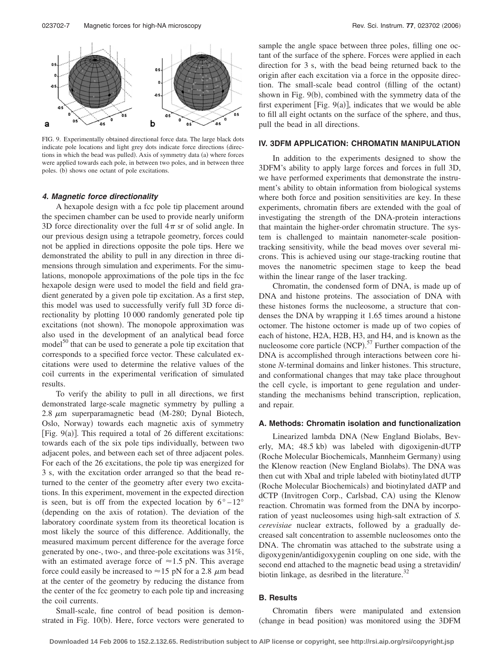

FIG. 9. Experimentally obtained directional force data. The large black dots indicate pole locations and light grey dots indicate force directions (directions in which the bead was pulled). Axis of symmetry data (a) where forces were applied towards each pole, in between two poles, and in between three poles. (b) shows one octant of pole excitations.

#### *4. Magnetic force directionality*

A hexapole design with a fcc pole tip placement around the specimen chamber can be used to provide nearly uniform 3D force directionality over the full  $4\pi$  sr of solid angle. In our previous design using a tetrapole geometry, forces could not be applied in directions opposite the pole tips. Here we demonstrated the ability to pull in any direction in three dimensions through simulation and experiments. For the simulations, monopole approximations of the pole tips in the fcc hexapole design were used to model the field and field gradient generated by a given pole tip excitation. As a first step, this model was used to successfully verify full 3D force directionality by plotting 10 000 randomly generated pole tip excitations (not shown). The monopole approximation was also used in the development of an analytical bead force model $10<sup>0</sup>$  that can be used to generate a pole tip excitation that corresponds to a specified force vector. These calculated excitations were used to determine the relative values of the coil currents in the experimental verification of simulated results.

To verify the ability to pull in all directions, we first demonstrated large-scale magnetic symmetry by pulling a 2.8  $\mu$ m superparamagnetic bead (M-280; Dynal Biotech, Oslo, Norway) towards each magnetic axis of symmetry [Fig. 9(a)]. This required a total of 26 different excitations: towards each of the six pole tips individually, between two adjacent poles, and between each set of three adjacent poles. For each of the 26 excitations, the pole tip was energized for 3 s, with the excitation order arranged so that the bead returned to the center of the geometry after every two excitations. In this experiment, movement in the expected direction is seen, but is off from the expected location by  $6^{\circ} - 12^{\circ}$ (depending on the axis of rotation). The deviation of the laboratory coordinate system from its theoretical location is most likely the source of this difference. Additionally, the measured maximum percent difference for the average force generated by one-, two-, and three-pole excitations was 31%, with an estimated average force of  $\approx$  1.5 pN. This average force could easily be increased to  $\approx$  15 pN for a 2.8  $\mu$ m bead at the center of the geometry by reducing the distance from the center of the fcc geometry to each pole tip and increasing the coil currents.

Small-scale, fine control of bead position is demonstrated in Fig. 10(b). Here, force vectors were generated to

sample the angle space between three poles, filling one octant of the surface of the sphere. Forces were applied in each direction for 3 s, with the bead being returned back to the origin after each excitation via a force in the opposite direction. The small-scale bead control (filling of the octant) shown in Fig. 9(b), combined with the symmetry data of the first experiment [Fig.  $9(a)$ ], indicates that we would be able to fill all eight octants on the surface of the sphere, and thus, pull the bead in all directions.

#### **IV. 3DFM APPLICATION: CHROMATIN MANIPULATION**

In addition to the experiments designed to show the 3DFM's ability to apply large forces and forces in full 3D, we have performed experiments that demonstrate the instrument's ability to obtain information from biological systems where both force and position sensitivities are key. In these experiments, chromatin fibers are extended with the goal of investigating the strength of the DNA-protein interactions that maintain the higher-order chromatin structure. The system is challenged to maintain nanometer-scale positiontracking sensitivity, while the bead moves over several microns. This is achieved using our stage-tracking routine that moves the nanometric specimen stage to keep the bead within the linear range of the laser tracking.

Chromatin, the condensed form of DNA, is made up of DNA and histone proteins. The association of DNA with these histones forms the nucleosome, a structure that condenses the DNA by wrapping it 1.65 times around a histone octomer. The histone octomer is made up of two copies of each of histone, H2A, H2B, H3, and H4, and is known as the nucleosome core particle  $(NCP)$ .<sup>57</sup> Further compaction of the DNA is accomplished through interactions between core histone *N*-terminal domains and linker histones. This structure, and conformational changes that may take place throughout the cell cycle, is important to gene regulation and understanding the mechanisms behind transcription, replication, and repair.

#### **A. Methods: Chromatin isolation and functionalization**

Linearized lambda DNA (New England Biolabs, Beverly, MA; 48.5 kb) was labeled with digoxigenin-dUTP (Roche Molecular Biochemicals, Mannheim Germany) using the Klenow reaction (New England Biolabs). The DNA was then cut with XbaI and triple labeled with biotinylated dUTP (Roche Molecular Biochemicals) and biotinylated dATP and dCTP (Invitrogen Corp., Carlsbad, CA) using the Klenow reaction. Chromatin was formed from the DNA by incorporation of yeast nucleosomes using high-salt extraction of *S. cerevisiae* nuclear extracts, followed by a gradually decreased salt concentration to assemble nucleosomes onto the DNA. The chromatin was attached to the substrate using a digoxygenin/antidigoxygenin coupling on one side, with the second end attached to the magnetic bead using a stretavidin/ biotin linkage, as desribed in the literature. $32$ 

# **B. Results**

Chromatin fibers were manipulated and extension (change in bead position) was monitored using the 3DFM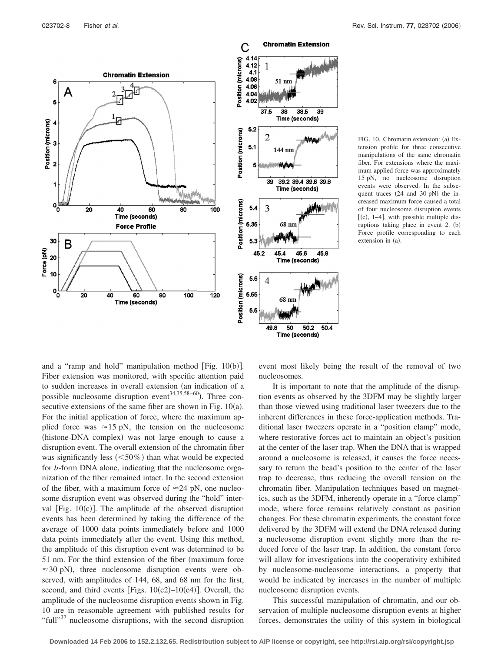

FIG. 10. Chromatin extension: (a) Extension profile for three consecutive manipulations of the same chromatin fiber. For extensions where the maximum applied force was approximately 15 pN, no nucleosome disruption events were observed. In the subsequent traces  $(24 \text{ and } 30 \text{ pN})$  the increased maximum force caused a total of four nucleosome disruption events  $[(c), 1-4]$ , with possible multiple disruptions taking place in event 2. (b) Force profile corresponding to each extension in (a).

and a "ramp and hold" manipulation method [Fig.  $10(b)$ ]. Fiber extension was monitored, with specific attention paid to sudden increases in overall extension (an indication of a possible nucleosome disruption event  $(34,35,58-60)$ . Three consecutive extensions of the same fiber are shown in Fig.  $10(a)$ . For the initial application of force, where the maximum applied force was  $\approx$ 15 pN, the tension on the nucleosome (histone-DNA complex) was not large enough to cause a disruption event. The overall extension of the chromatin fiber was significantly less  $(<50\%)$  than what would be expected for *b*-form DNA alone, indicating that the nucleosome organization of the fiber remained intact. In the second extension of the fiber, with a maximum force of  $\approx$  24 pN, one nucleosome disruption event was observed during the "hold" interval [Fig.  $10(c)$ ]. The amplitude of the observed disruption events has been determined by taking the difference of the average of 1000 data points immediately before and 1000 data points immediately after the event. Using this method, the amplitude of this disruption event was determined to be 51 nm. For the third extension of the fiber (maximum force)  $\approx$  30 pN), three nucleosome disruption events were observed, with amplitudes of 144, 68, and 68 nm for the first, second, and third events [Figs.  $10(c2) - 10(c4)$ ]. Overall, the amplitude of the nucleosome disruption events shown in Fig. 10 are in reasonable agreement with published results for "full"<sup>37</sup> nucleosome disruptions, with the second disruption event most likely being the result of the removal of two nucleosomes.

38.5

45.6

50.2

50.4

 $45.8$ 

39

It is important to note that the amplitude of the disruption events as observed by the 3DFM may be slightly larger than those viewed using traditional laser tweezers due to the inherent differences in these force-application methods. Traditional laser tweezers operate in a "position clamp" mode, where restorative forces act to maintain an object's position at the center of the laser trap. When the DNA that is wrapped around a nucleosome is released, it causes the force necessary to return the bead's position to the center of the laser trap to decrease, thus reducing the overall tension on the chromatin fiber. Manipulation techniques based on magnetics, such as the 3DFM, inherently operate in a "force clamp" mode, where force remains relatively constant as position changes. For these chromatin experiments, the constant force delivered by the 3DFM will extend the DNA released during a nucleosome disruption event slightly more than the reduced force of the laser trap. In addition, the constant force will allow for investigations into the cooperativity exhibited by nucleosome-nucleosome interactions, a property that would be indicated by increases in the number of multiple nucleosome disruption events.

This successful manipulation of chromatin, and our observation of multiple nucleosome disruption events at higher forces, demonstrates the utility of this system in biological